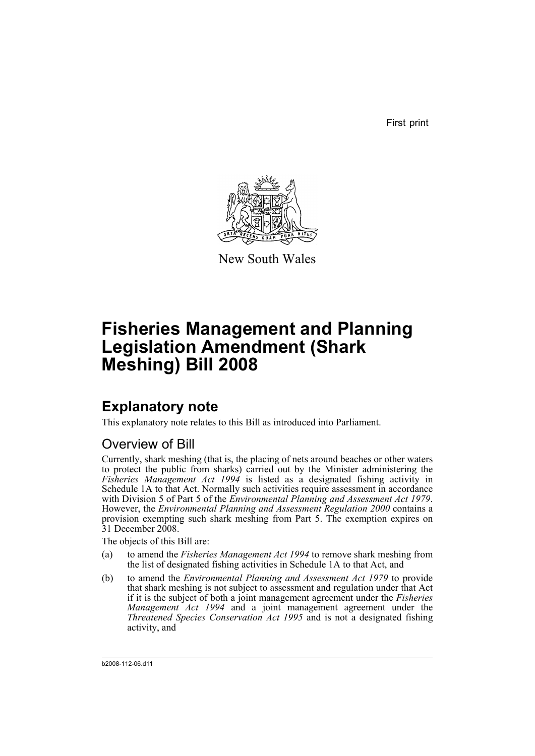First print



New South Wales

# **Fisheries Management and Planning Legislation Amendment (Shark Meshing) Bill 2008**

## **Explanatory note**

This explanatory note relates to this Bill as introduced into Parliament.

### Overview of Bill

Currently, shark meshing (that is, the placing of nets around beaches or other waters to protect the public from sharks) carried out by the Minister administering the *Fisheries Management Act 1994* is listed as a designated fishing activity in Schedule 1A to that Act. Normally such activities require assessment in accordance with Division 5 of Part 5 of the *Environmental Planning and Assessment Act 1979*. However, the *Environmental Planning and Assessment Regulation 2000* contains a provision exempting such shark meshing from Part 5. The exemption expires on 31 December 2008.

The objects of this Bill are:

- (a) to amend the *Fisheries Management Act 1994* to remove shark meshing from the list of designated fishing activities in Schedule 1A to that Act, and
- (b) to amend the *Environmental Planning and Assessment Act 1979* to provide that shark meshing is not subject to assessment and regulation under that Act if it is the subject of both a joint management agreement under the *Fisheries Management Act 1994* and a joint management agreement under the *Threatened Species Conservation Act 1995* and is not a designated fishing activity, and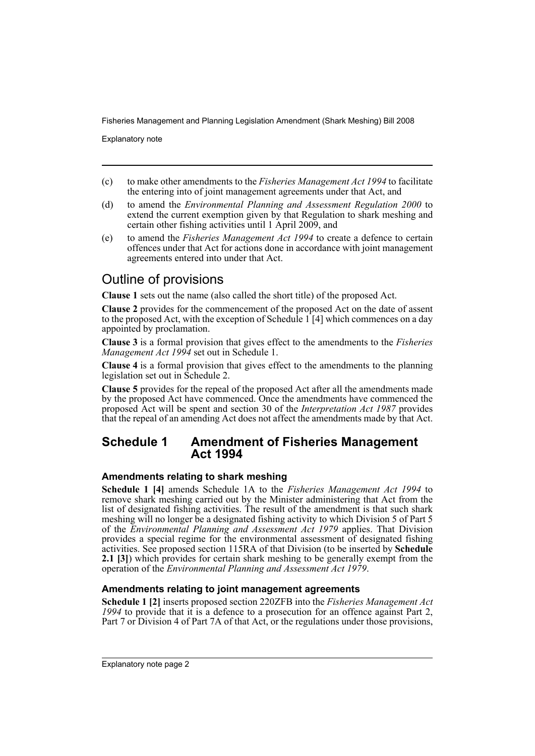Explanatory note

- (c) to make other amendments to the *Fisheries Management Act 1994* to facilitate the entering into of joint management agreements under that Act, and
- (d) to amend the *Environmental Planning and Assessment Regulation 2000* to extend the current exemption given by that Regulation to shark meshing and certain other fishing activities until 1 April 2009, and
- (e) to amend the *Fisheries Management Act 1994* to create a defence to certain offences under that Act for actions done in accordance with joint management agreements entered into under that Act.

## Outline of provisions

**Clause 1** sets out the name (also called the short title) of the proposed Act.

**Clause 2** provides for the commencement of the proposed Act on the date of assent to the proposed Act, with the exception of Schedule  $1 \mid 4$  which commences on a day appointed by proclamation.

**Clause 3** is a formal provision that gives effect to the amendments to the *Fisheries Management Act 1994* set out in Schedule 1.

**Clause 4** is a formal provision that gives effect to the amendments to the planning legislation set out in Schedule 2.

**Clause 5** provides for the repeal of the proposed Act after all the amendments made by the proposed Act have commenced. Once the amendments have commenced the proposed Act will be spent and section 30 of the *Interpretation Act 1987* provides that the repeal of an amending Act does not affect the amendments made by that Act.

### **Schedule 1 Amendment of Fisheries Management Act 1994**

#### **Amendments relating to shark meshing**

**Schedule 1 [4]** amends Schedule 1A to the *Fisheries Management Act 1994* to remove shark meshing carried out by the Minister administering that Act from the list of designated fishing activities. The result of the amendment is that such shark meshing will no longer be a designated fishing activity to which Division 5 of Part 5 of the *Environmental Planning and Assessment Act 1979* applies. That Division provides a special regime for the environmental assessment of designated fishing activities. See proposed section 115RA of that Division (to be inserted by **Schedule 2.1 [3]**) which provides for certain shark meshing to be generally exempt from the operation of the *Environmental Planning and Assessment Act 1979*.

### **Amendments relating to joint management agreements**

**Schedule 1 [2]** inserts proposed section 220ZFB into the *Fisheries Management Act 1994* to provide that it is a defence to a prosecution for an offence against Part 2, Part 7 or Division 4 of Part 7A of that Act, or the regulations under those provisions,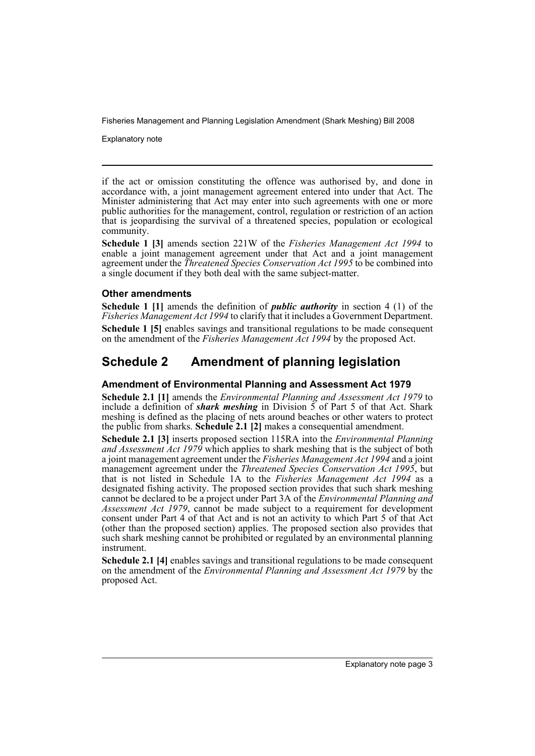Explanatory note

if the act or omission constituting the offence was authorised by, and done in accordance with, a joint management agreement entered into under that Act. The Minister administering that Act may enter into such agreements with one or more public authorities for the management, control, regulation or restriction of an action that is jeopardising the survival of a threatened species, population or ecological community.

**Schedule 1 [3]** amends section 221W of the *Fisheries Management Act 1994* to enable a joint management agreement under that Act and a joint management agreement under the *Threatened Species Conservation Act 1995* to be combined into a single document if they both deal with the same subject-matter.

#### **Other amendments**

**Schedule 1 [1]** amends the definition of *public authority* in section 4 (1) of the *Fisheries Management Act 1994* to clarify that it includes a Government Department. **Schedule 1 [5]** enables savings and transitional regulations to be made consequent on the amendment of the *Fisheries Management Act 1994* by the proposed Act.

### **Schedule 2 Amendment of planning legislation**

#### **Amendment of Environmental Planning and Assessment Act 1979**

**Schedule 2.1 [1]** amends the *Environmental Planning and Assessment Act 1979* to include a definition of **shark meshing** in Division  $\overline{5}$  of Part 5 of that Act. Shark meshing is defined as the placing of nets around beaches or other waters to protect the public from sharks. **Schedule 2.1 [2]** makes a consequential amendment.

**Schedule 2.1 [3]** inserts proposed section 115RA into the *Environmental Planning and Assessment Act 1979* which applies to shark meshing that is the subject of both a joint management agreement under the *Fisheries Management Act 1994* and a joint management agreement under the *Threatened Species Conservation Act 1995*, but that is not listed in Schedule 1A to the *Fisheries Management Act 1994* as a designated fishing activity. The proposed section provides that such shark meshing cannot be declared to be a project under Part 3A of the *Environmental Planning and Assessment Act 1979*, cannot be made subject to a requirement for development consent under Part 4 of that Act and is not an activity to which Part 5 of that Act (other than the proposed section) applies. The proposed section also provides that such shark meshing cannot be prohibited or regulated by an environmental planning instrument.

**Schedule 2.1 [4]** enables savings and transitional regulations to be made consequent on the amendment of the *Environmental Planning and Assessment Act 1979* by the proposed Act.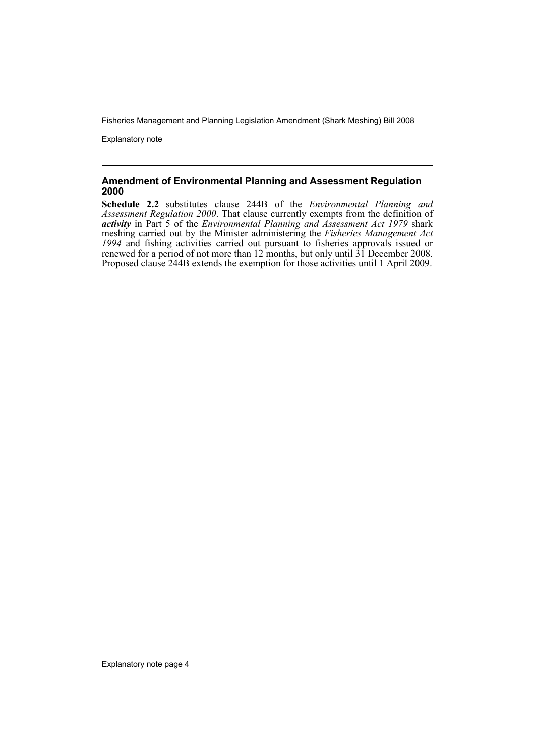Explanatory note

#### **Amendment of Environmental Planning and Assessment Regulation 2000**

**Schedule 2.2** substitutes clause 244B of the *Environmental Planning and Assessment Regulation 2000*. That clause currently exempts from the definition of *activity* in Part 5 of the *Environmental Planning and Assessment Act 1979* shark meshing carried out by the Minister administering the *Fisheries Management Act 1994* and fishing activities carried out pursuant to fisheries approvals issued or renewed for a period of not more than 12 months, but only until 31 December 2008. Proposed clause 244B extends the exemption for those activities until 1 April 2009.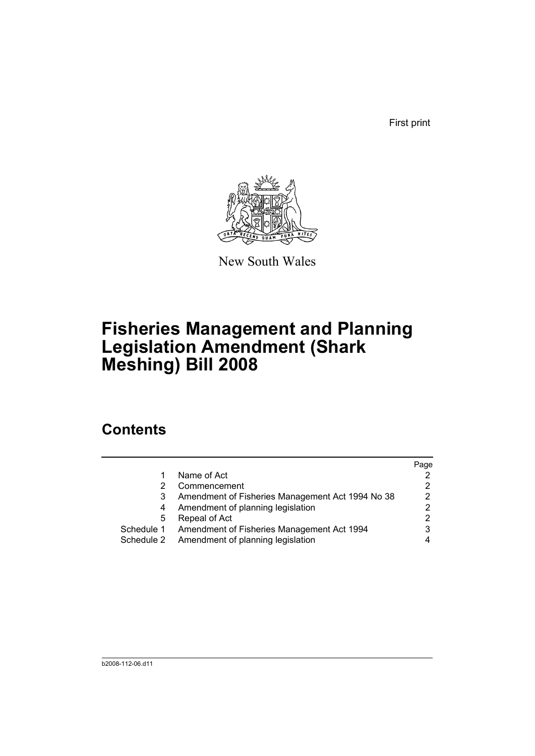First print



New South Wales

# **Fisheries Management and Planning Legislation Amendment (Shark Meshing) Bill 2008**

## **Contents**

|            |                                                  | Page |
|------------|--------------------------------------------------|------|
|            | Name of Act                                      |      |
|            | Commencement                                     |      |
|            | Amendment of Fisheries Management Act 1994 No 38 | 2    |
| 4          | Amendment of planning legislation                |      |
| 5          | Repeal of Act                                    |      |
| Schedule 1 | Amendment of Fisheries Management Act 1994       |      |
| Schedule 2 | Amendment of planning legislation                |      |
|            |                                                  |      |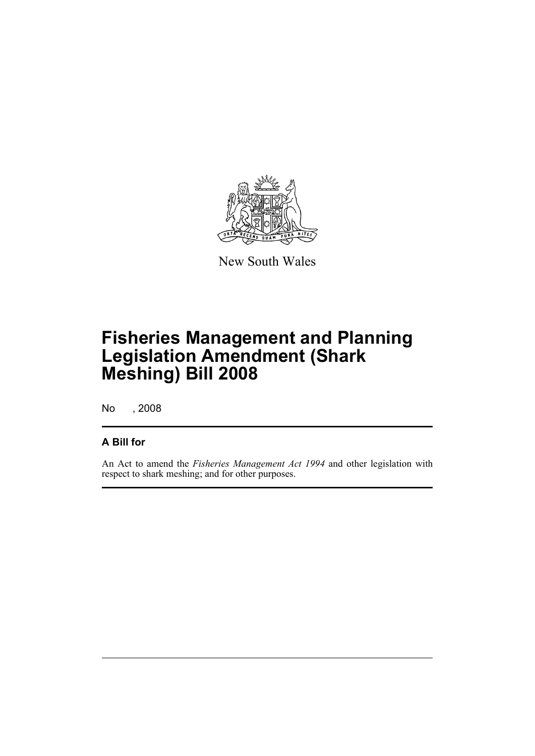

New South Wales

## **Fisheries Management and Planning Legislation Amendment (Shark Meshing) Bill 2008**

No , 2008

### **A Bill for**

An Act to amend the *Fisheries Management Act 1994* and other legislation with respect to shark meshing; and for other purposes.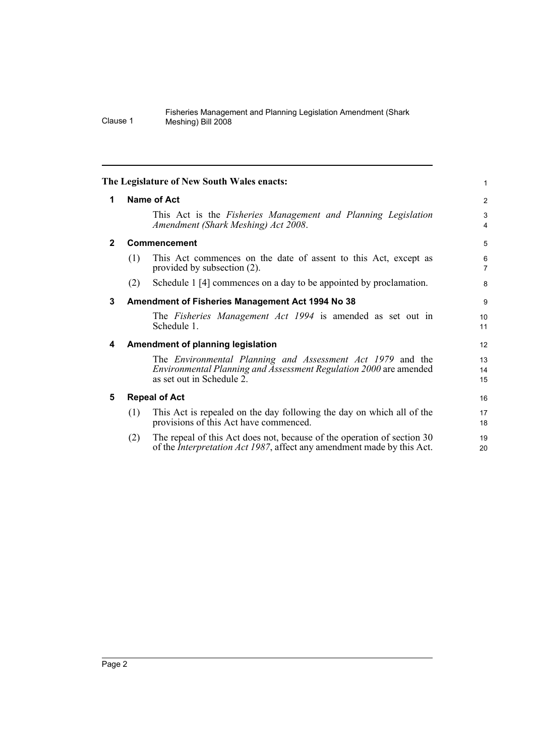<span id="page-7-4"></span><span id="page-7-3"></span><span id="page-7-2"></span><span id="page-7-1"></span><span id="page-7-0"></span>

|                |                                                  | The Legislature of New South Wales enacts:                                                                                                                          | 1              |  |  |
|----------------|--------------------------------------------------|---------------------------------------------------------------------------------------------------------------------------------------------------------------------|----------------|--|--|
| 1              | Name of Act                                      |                                                                                                                                                                     |                |  |  |
|                |                                                  | This Act is the Fisheries Management and Planning Legislation<br>Amendment (Shark Meshing) Act 2008.                                                                | 3<br>4         |  |  |
| $\overline{2}$ |                                                  | <b>Commencement</b>                                                                                                                                                 |                |  |  |
|                | (1)                                              | This Act commences on the date of assent to this Act, except as<br>provided by subsection (2).                                                                      | 6<br>7         |  |  |
|                | (2)                                              | Schedule 1 [4] commences on a day to be appointed by proclamation.                                                                                                  | 8              |  |  |
| 3              | Amendment of Fisheries Management Act 1994 No 38 |                                                                                                                                                                     |                |  |  |
|                |                                                  | The <i>Fisheries Management Act 1994</i> is amended as set out in<br>Schedule 1.                                                                                    | 10<br>11       |  |  |
| 4              | Amendment of planning legislation                |                                                                                                                                                                     |                |  |  |
|                |                                                  | The <i>Environmental Planning and Assessment Act 1979</i> and the<br>Environmental Planning and Assessment Regulation 2000 are amended<br>as set out in Schedule 2. | 13<br>14<br>15 |  |  |
| 5              | <b>Repeal of Act</b>                             |                                                                                                                                                                     |                |  |  |
|                | (1)                                              | This Act is repealed on the day following the day on which all of the<br>provisions of this Act have commenced.                                                     | 17<br>18       |  |  |
|                | (2)                                              | The repeal of this Act does not, because of the operation of section 30<br>of the <i>Interpretation Act 1987</i> , affect any amendment made by this Act.           | 19<br>20       |  |  |
|                |                                                  |                                                                                                                                                                     |                |  |  |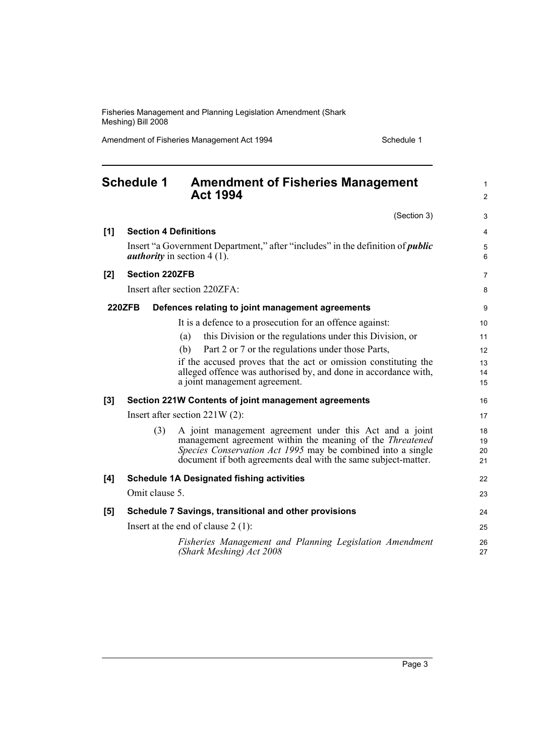Amendment of Fisheries Management Act 1994 Schedule 1

<span id="page-8-0"></span>

|       | <b>Schedule 1</b>                    | <b>Amendment of Fisheries Management</b><br><b>Act 1994</b>                                                                   | $\mathbf{1}$<br>$\overline{2}$ |  |  |
|-------|--------------------------------------|-------------------------------------------------------------------------------------------------------------------------------|--------------------------------|--|--|
|       |                                      | (Section 3)                                                                                                                   | 3                              |  |  |
| [1]   | <b>Section 4 Definitions</b>         |                                                                                                                               |                                |  |  |
|       |                                      | Insert "a Government Department," after "includes" in the definition of <i>public</i><br><i>authority</i> in section $4(1)$ . | 5<br>6                         |  |  |
| [2]   | <b>Section 220ZFB</b>                |                                                                                                                               | $\overline{7}$                 |  |  |
|       |                                      | Insert after section 220ZFA:                                                                                                  | 8                              |  |  |
|       | <b>220ZFB</b>                        | Defences relating to joint management agreements                                                                              | 9                              |  |  |
|       |                                      | It is a defence to a prosecution for an offence against:                                                                      | 10                             |  |  |
|       |                                      | this Division or the regulations under this Division, or<br>(a)                                                               | 11                             |  |  |
|       |                                      | Part 2 or 7 or the regulations under those Parts,<br>(b)                                                                      | 12                             |  |  |
|       |                                      | if the accused proves that the act or omission constituting the                                                               | 13                             |  |  |
|       |                                      | alleged offence was authorised by, and done in accordance with,                                                               | 14                             |  |  |
|       |                                      | a joint management agreement.                                                                                                 | 15                             |  |  |
| $[3]$ |                                      | Section 221W Contents of joint management agreements                                                                          | 16                             |  |  |
|       | Insert after section $221W(2)$ :     |                                                                                                                               |                                |  |  |
|       | (3)                                  | A joint management agreement under this Act and a joint                                                                       | 18                             |  |  |
|       |                                      | management agreement within the meaning of the <i>Threatened</i>                                                              | 19                             |  |  |
|       |                                      | Species Conservation Act 1995 may be combined into a single<br>document if both agreements deal with the same subject-matter. | 20<br>21                       |  |  |
|       |                                      |                                                                                                                               |                                |  |  |
| [4]   |                                      | <b>Schedule 1A Designated fishing activities</b>                                                                              | 22                             |  |  |
|       | Omit clause 5.                       |                                                                                                                               | 23                             |  |  |
| [5]   |                                      | Schedule 7 Savings, transitional and other provisions                                                                         | 24                             |  |  |
|       | Insert at the end of clause $2(1)$ : |                                                                                                                               |                                |  |  |
|       |                                      | Fisheries Management and Planning Legislation Amendment<br>(Shark Meshing) Act 2008                                           | 26<br>27                       |  |  |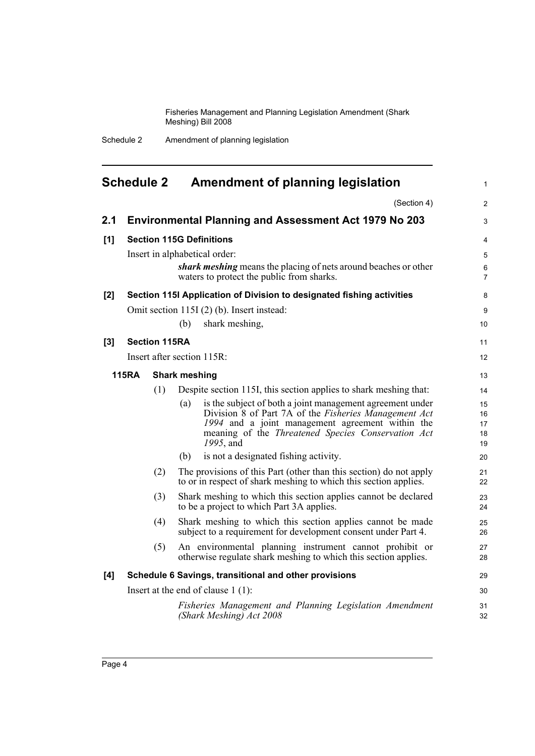Schedule 2 Amendment of planning legislation

<span id="page-9-0"></span>

|                                      | <b>Schedule 2</b> |                      |                      | Amendment of planning legislation                                                                                                                                                                                                         | $\mathbf{1}$               |
|--------------------------------------|-------------------|----------------------|----------------------|-------------------------------------------------------------------------------------------------------------------------------------------------------------------------------------------------------------------------------------------|----------------------------|
|                                      |                   |                      |                      | (Section 4)                                                                                                                                                                                                                               | 2                          |
| 2.1                                  |                   |                      |                      | <b>Environmental Planning and Assessment Act 1979 No 203</b>                                                                                                                                                                              | 3                          |
| [1]                                  |                   |                      |                      | <b>Section 115G Definitions</b>                                                                                                                                                                                                           | $\overline{4}$             |
|                                      |                   |                      |                      | Insert in alphabetical order:                                                                                                                                                                                                             | 5                          |
|                                      |                   |                      |                      | shark meshing means the placing of nets around beaches or other<br>waters to protect the public from sharks.                                                                                                                              | 6<br>$\overline{7}$        |
| [2]                                  |                   |                      |                      | Section 115I Application of Division to designated fishing activities                                                                                                                                                                     | 8                          |
|                                      |                   |                      |                      | Omit section 115I (2) (b). Insert instead:                                                                                                                                                                                                | 9                          |
|                                      |                   |                      | (b)                  | shark meshing,                                                                                                                                                                                                                            | 10                         |
| $[3]$                                |                   | <b>Section 115RA</b> |                      |                                                                                                                                                                                                                                           | 11                         |
|                                      |                   |                      |                      | Insert after section 115R:                                                                                                                                                                                                                | 12                         |
|                                      | <b>115RA</b>      |                      | <b>Shark meshing</b> |                                                                                                                                                                                                                                           | 13                         |
|                                      |                   | (1)                  |                      | Despite section 115I, this section applies to shark meshing that:                                                                                                                                                                         | 14                         |
|                                      |                   |                      | (a)                  | is the subject of both a joint management agreement under<br>Division 8 of Part 7A of the Fisheries Management Act<br>1994 and a joint management agreement within the<br>meaning of the Threatened Species Conservation Act<br>1995, and | 15<br>16<br>17<br>18<br>19 |
|                                      |                   |                      | (b)                  | is not a designated fishing activity.                                                                                                                                                                                                     | 20                         |
|                                      |                   | (2)                  |                      | The provisions of this Part (other than this section) do not apply<br>to or in respect of shark meshing to which this section applies.                                                                                                    | 21<br>22                   |
|                                      | (3)               |                      |                      | Shark meshing to which this section applies cannot be declared<br>to be a project to which Part 3A applies.                                                                                                                               | 23<br>24                   |
|                                      |                   | (4)                  |                      | Shark meshing to which this section applies cannot be made<br>subject to a requirement for development consent under Part 4.                                                                                                              | 25<br>26                   |
|                                      |                   | (5)                  |                      | An environmental planning instrument cannot prohibit or<br>otherwise regulate shark meshing to which this section applies.                                                                                                                | 27<br>28                   |
| [4]                                  |                   |                      |                      | Schedule 6 Savings, transitional and other provisions                                                                                                                                                                                     | 29                         |
| Insert at the end of clause $1(1)$ : |                   |                      |                      |                                                                                                                                                                                                                                           | 30                         |
|                                      |                   |                      |                      | Fisheries Management and Planning Legislation Amendment<br>(Shark Meshing) Act 2008                                                                                                                                                       | 31<br>32                   |